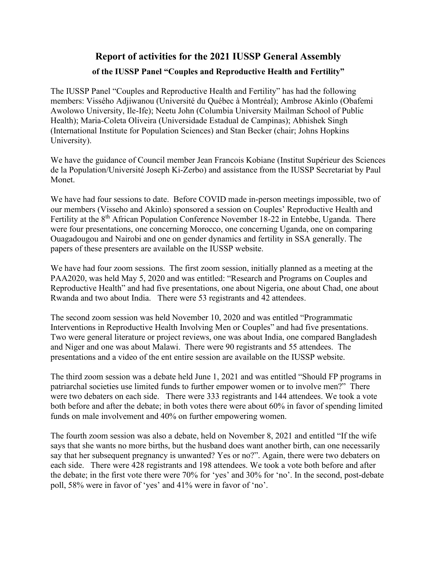## **Report of activities for the 2021 IUSSP General Assembly of the IUSSP Panel "Couples and Reproductive Health and Fertility"**

The IUSSP Panel "Couples and Reproductive Health and Fertility" has had the following members: Vissého Adjiwanou (Université du Québec à Montréal); Ambrose Akinlo (Obafemi Awolowo University, Ile-Ife); Neetu John (Columbia University Mailman School of Public Health); Maria-Coleta Oliveira (Universidade Estadual de Campinas); Abhishek Singh (International Institute for Population Sciences) and Stan Becker (chair; Johns Hopkins University).

We have the guidance of Council member Jean Francois Kobiane (Institut Supérieur des Sciences de la Population/Université Joseph Ki-Zerbo) and assistance from the IUSSP Secretariat by Paul Monet.

We have had four sessions to date. Before COVID made in-person meetings impossible, two of our members (Visseho and Akinlo) sponsored a session on Couples' Reproductive Health and Fertility at the 8<sup>th</sup> African Population Conference November 18-22 in Entebbe, Uganda. There were four presentations, one concerning Morocco, one concerning Uganda, one on comparing Ouagadougou and Nairobi and one on gender dynamics and fertility in SSA generally. The papers of these presenters are available on the IUSSP website.

We have had four zoom sessions. The first zoom session, initially planned as a meeting at the PAA2020, was held May 5, 2020 and was entitled: "Research and Programs on Couples and Reproductive Health" and had five presentations, one about Nigeria, one about Chad, one about Rwanda and two about India. There were 53 registrants and 42 attendees.

The second zoom session was held November 10, 2020 and was entitled "Programmatic Interventions in Reproductive Health Involving Men or Couples" and had five presentations. Two were general literature or project reviews, one was about India, one compared Bangladesh and Niger and one was about Malawi. There were 90 registrants and 55 attendees. The presentations and a video of the ent entire session are available on the IUSSP website.

The third zoom session was a debate held June 1, 2021 and was entitled "Should FP programs in patriarchal societies use limited funds to further empower women or to involve men?" There were two debaters on each side. There were 333 registrants and 144 attendees. We took a vote both before and after the debate; in both votes there were about 60% in favor of spending limited funds on male involvement and 40% on further empowering women.

The fourth zoom session was also a debate, held on November 8, 2021 and entitled "If the wife says that she wants no more births, but the husband does want another birth, can one necessarily say that her subsequent pregnancy is unwanted? Yes or no?". Again, there were two debaters on each side. There were 428 registrants and 198 attendees. We took a vote both before and after the debate; in the first vote there were 70% for 'yes' and 30% for 'no'. In the second, post-debate poll, 58% were in favor of 'yes' and 41% were in favor of 'no'.